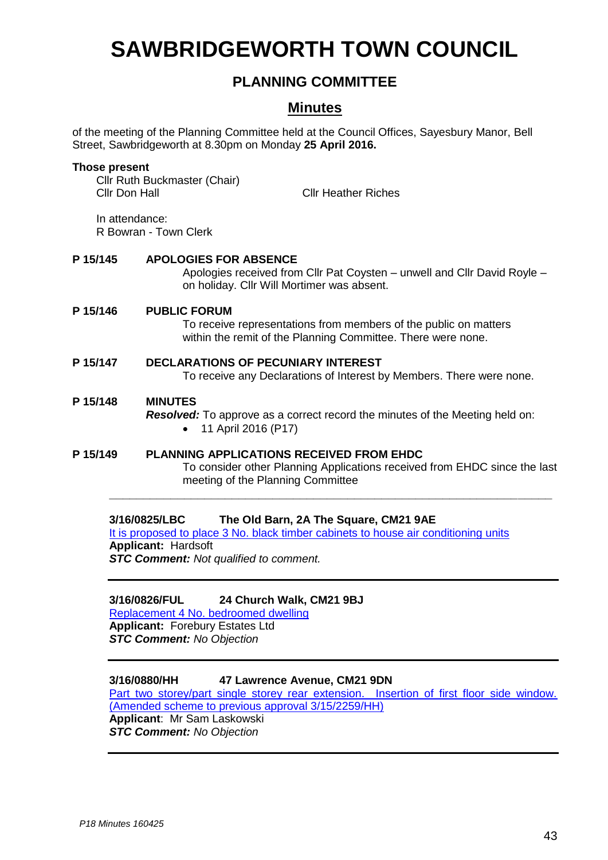# **SAWBRIDGEWORTH TOWN COUNCIL**

# **PLANNING COMMITTEE**

## **Minutes**

of the meeting of the Planning Committee held at the Council Offices, Sayesbury Manor, Bell Street, Sawbridgeworth at 8.30pm on Monday **25 April 2016.**

#### **Those present**

Cllr Ruth Buckmaster (Chair) Cllr Don Hall Cllr Heather Riches

In attendance: R Bowran - Town Clerk

#### **P 15/145 APOLOGIES FOR ABSENCE**

Apologies received from Cllr Pat Coysten – unwell and Cllr David Royle – on holiday. Cllr Will Mortimer was absent.

#### **P 15/146 PUBLIC FORUM**

To receive representations from members of the public on matters within the remit of the Planning Committee. There were none.

### **P 15/147 DECLARATIONS OF PECUNIARY INTEREST**

To receive any Declarations of Interest by Members. There were none.

#### **P 15/148 MINUTES**

*Resolved:* To approve as a correct record the minutes of the Meeting held on: 11 April 2016 (P17)

#### **P 15/149 PLANNING APPLICATIONS RECEIVED FROM EHDC** To consider other Planning Applications received from EHDC since the last meeting of the Planning Committee

**\_\_\_\_\_\_\_\_\_\_\_\_\_\_\_\_\_\_\_\_\_\_\_\_\_\_\_\_\_\_\_\_\_\_\_\_\_\_\_\_\_\_\_\_\_\_\_\_\_\_\_\_\_\_\_\_\_\_\_\_\_\_\_\_\_**

#### **3/16/0825/LBC The Old Barn, 2A The Square, CM21 9AE**

[It is proposed to place 3 No. black timber cabinets to house air conditioning units](https://publicaccess.eastherts.gov.uk/online-applications/applicationDetails.do?activeTab=summary&keyVal=O561R2GLJDW00) **Applicant:** Hardsoft *STC Comment: Not qualified to comment.*

#### **3/16/0826/FUL 24 Church Walk, CM21 9BJ**

[Replacement 4 No. bedroomed dwelling](https://publicaccess.eastherts.gov.uk/online-applications/applicationDetails.do?activeTab=summary&keyVal=O561RMGLJDY00) **Applicant:** Forebury Estates Ltd *STC Comment: No Objection*

#### **3/16/0880/HH 47 Lawrence Avenue, CM21 9DN**

[Part two storey/part single storey rear extension. Insertion of first floor side window.](https://publicaccess.eastherts.gov.uk/online-applications/applicationDetails.do?activeTab=summary&keyVal=O5J0HAGLJGC00)  [\(Amended scheme to previous approval 3/15/2259/HH\)](https://publicaccess.eastherts.gov.uk/online-applications/applicationDetails.do?activeTab=summary&keyVal=O5J0HAGLJGC00) **Applicant**: Mr Sam Laskowski *STC Comment: No Objection*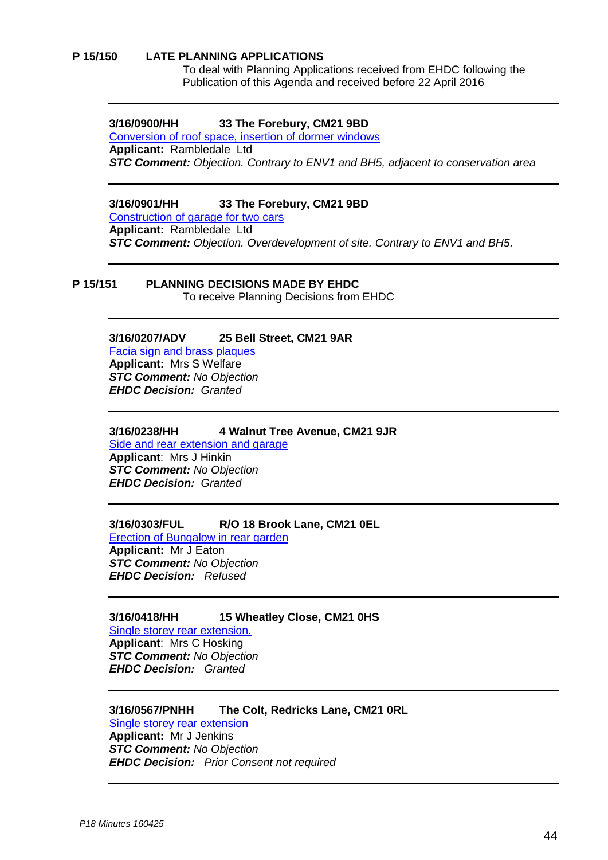#### **P 15/150 LATE PLANNING APPLICATIONS**

To deal with Planning Applications received from EHDC following the Publication of this Agenda and received before 22 April 2016

#### **3/16/0900/HH 33 The Forebury, CM21 9BD**

[Conversion of roof space, insertion of dormer windows](https://publicaccess.eastherts.gov.uk/online-applications/applicationDetails.do?activeTab=summary&keyVal=O561RMGLJDY00) **Applicant:** Rambledale Ltd *STC Comment: Objection. Contrary to ENV1 and BH5, adjacent to conservation area*

#### **3/16/0901/HH 33 The Forebury, CM21 9BD**

Construction of garage for two cars **Applicant:** Rambledale Ltd *STC Comment: Objection. Overdevelopment of site. Contrary to ENV1 and BH5.*

#### **P 15/151 PLANNING DECISIONS MADE BY EHDC**

To receive Planning Decisions from EHDC

#### **3/16/0207/ADV 25 Bell Street, CM21 9AR**

[Facia sign and brass plaques](https://publicaccess.eastherts.gov.uk/online-applications/applicationDetails.do?activeTab=summary&keyVal=O561RMGLJDY00) **Applicant:** Mrs S Welfare *STC Comment: No Objection EHDC Decision: Granted*

#### **3/16/0238/HH 4 Walnut Tree Avenue, CM21 9JR**

[Side and rear extension](https://publicaccess.eastherts.gov.uk/online-applications/applicationDetails.do?activeTab=summary&keyVal=O5J0HAGLJGC00) and garage **Applicant**: Mrs J Hinkin *STC Comment: No Objection EHDC Decision: Granted*

#### **3/16/0303/FUL R/O 18 Brook Lane, CM21 0EL**

[Erection of Bungalow in rear garden](https://publicaccess.eastherts.gov.uk/online-applications/applicationDetails.do?activeTab=summary&keyVal=O561RMGLJDY00) **Applicant:** Mr J Eaton *STC Comment: No Objection EHDC Decision: Refused*

# **3/16/0418/HH 15 Wheatley Close, CM21 0HS**

[Single storey rear extension.](https://publicaccess.eastherts.gov.uk/online-applications/applicationDetails.do?activeTab=summary&keyVal=O5J0HAGLJGC00)  **Applicant**: Mrs C Hosking *STC Comment: No Objection EHDC Decision: Granted*

#### **3/16/0567/PNHH The Colt, Redricks Lane, CM21 0RL** [Single storey rear extension](https://publicaccess.eastherts.gov.uk/online-applications/applicationDetails.do?activeTab=summary&keyVal=O561RMGLJDY00) **Applicant:** Mr J Jenkins

*STC Comment: No Objection EHDC Decision: Prior Consent not required*